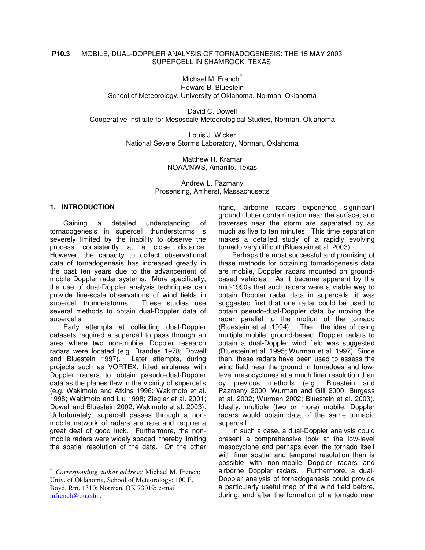## **P10.3** MOBILE, DUAL-DOPPLER ANALYSIS OF TORNADOGENESIS: THE 15 MAY 2003 SUPERCELL IN SHAMROCK, TEXAS

Michael M. French<sup>\*</sup> Howard B. Bluestein School of Meteorology, University of Oklahoma, Norman, Oklahoma

David C. Dowell Cooperative Institute for Mesoscale Meteorological Studies, Norman, Oklahoma

> Louis J. Wicker National Severe Storms Laboratory, Norman, Oklahoma

> > Matthew R. Kramar NOAA/NWS, Amarillo, Texas

Andrew L. Pazmany Prosensing, Amherst, Massachusetts

## **1. INTRODUCTION**

Gaining a detailed understanding of tornadogenesis in supercell thunderstorms is severely limited by the inability to observe the process consistently at a close distance. However, the capacity to collect observational data of tornadogenesis has increased greatly in the past ten years due to the advancement of mobile Doppler radar systems. More specifically, the use of dual-Doppler analysis techniques can provide fine-scale observations of wind fields in supercell thunderstorms. These studies use several methods to obtain dual-Doppler data of supercells.

Early attempts at collecting dual-Doppler datasets required a supercell to pass through an area where two non-mobile, Doppler research radars were located (e.g. Brandes 1978; Dowell and Bluestein 1997). Later attempts, during projects such as VORTEX, fitted airplanes with Doppler radars to obtain pseudo-dual-Doppler data as the planes flew in the vicinity of supercells (e.g. Wakimoto and Atkins 1996; Wakimoto et al. 1998; Wakimoto and Liu 1998; Ziegler et al. 2001; Dowell and Bluestein 2002; Wakimoto et al. 2003). Unfortunately, supercell passes through a nonmobile network of radars are rare and require a great deal of good luck. Furthermore, the nonmobile radars were widely spaced, thereby limiting the spatial resolution of the data. On the other hand, airborne radars experience significant ground clutter contamination near the surface, and traverses near the storm are separated by as much as five to ten minutes. This time separation makes a detailed study of a rapidly evolving tornado very difficult (Bluestein et al. 2003).

Perhaps the most successful and promising of these methods for obtaining tornadogenesis data are mobile, Doppler radars mounted on groundbased vehicles. As it became apparent by the mid-1990s that such radars were a viable way to obtain Doppler radar data in supercells, it was suggested first that one radar could be used to obtain pseudo-dual-Doppler data by moving the radar parallel to the motion of the tornado (Bluestein et al. 1994). Then, the idea of using multiple mobile, ground-based, Doppler radars to obtain a dual-Doppler wind field was suggested (Bluestein et al. 1995; Wurman et al. 1997). Since then, these radars have been used to assess the wind field near the ground in tornadoes and lowlevel mesocyclones at a much finer resolution than by previous methods (e.g., Bluestein and Pazmany 2000; Wurman and Gill 2000; Burgess et al. 2002; Wurman 2002; Bluestein et al. 2003). Ideally, multiple (two or more) mobile, Doppler radars would obtain data of the same tornadic supercell.

In such a case, a dual-Doppler analysis could present a comprehensive look at the low-level mesocyclone and perhaps even the tornado itself with finer spatial and temporal resolution than is possible with non-mobile Doppler radars and airborne Doppler radars. Furthermore, a dual-Doppler analysis of tornadogenesis could provide a particularly useful map of the wind field before, during, and after the formation of a tornado near

<sup>\*</sup> *Corresponding author address:* Michael M. French; Univ. of Oklahoma, School of Meteorology; 100 E. Boyd, Rm. 1310; Norman, OK 73019; e-mail: mfrench@ou.edu .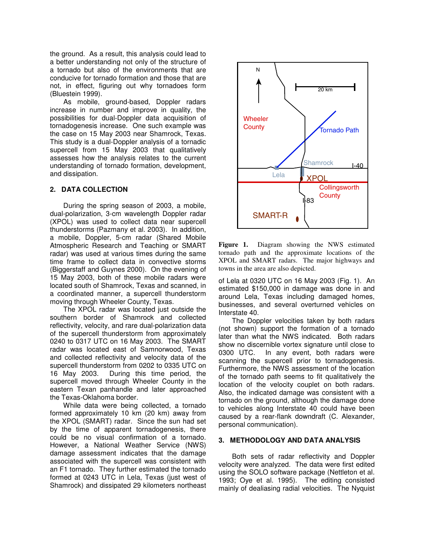the ground. As a result, this analysis could lead to a better understanding not only of the structure of a tornado but also of the environments that are conducive for tornado formation and those that are not, in effect, figuring out why tornadoes form (Bluestein 1999).

As mobile, ground-based, Doppler radars increase in number and improve in quality, the possibilities for dual-Doppler data acquisition of tornadogenesis increase. One such example was the case on 15 May 2003 near Shamrock, Texas. This study is a dual-Doppler analysis of a tornadic supercell from 15 May 2003 that qualitatively assesses how the analysis relates to the current understanding of tornado formation, development, and dissipation.

## **2. DATA COLLECTION**

During the spring season of 2003, a mobile, dual-polarization, 3-cm wavelength Doppler radar (XPOL) was used to collect data near supercell thunderstorms (Pazmany et al. 2003). In addition, a mobile, Doppler, 5-cm radar (Shared Mobile Atmospheric Research and Teaching or SMART radar) was used at various times during the same time frame to collect data in convective storms (Biggerstaff and Guynes 2000). On the evening of 15 May 2003, both of these mobile radars were located south of Shamrock, Texas and scanned, in a coordinated manner, a supercell thunderstorm moving through Wheeler County, Texas.

The XPOL radar was located just outside the southern border of Shamrock and collected reflectivity, velocity, and rare dual-polarization data of the supercell thunderstorm from approximately 0240 to 0317 UTC on 16 May 2003. The SMART radar was located east of Samnorwood, Texas and collected reflectivity and velocity data of the supercell thunderstorm from 0202 to 0335 UTC on 16 May 2003. During this time period, the supercell moved through Wheeler County in the eastern Texan panhandle and later approached the Texas-Oklahoma border.

While data were being collected, a tornado formed approximately 10 km (20 km) away from the XPOL (SMART) radar. Since the sun had set by the time of apparent tornadogenesis, there could be no visual confirmation of a tornado. However, a National Weather Service (NWS) damage assessment indicates that the damage associated with the supercell was consistent with an F1 tornado. They further estimated the tornado formed at 0243 UTC in Lela, Texas (just west of Shamrock) and dissipated 29 kilometers northeast



**Figure 1.** Diagram showing the NWS estimated tornado path and the approximate locations of the XPOL and SMART radars. The major highways and towns in the area are also depicted.

of Lela at 0320 UTC on 16 May 2003 (Fig. 1). An estimated \$150,000 in damage was done in and around Lela, Texas including damaged homes, businesses, and several overturned vehicles on Interstate 40.

The Doppler velocities taken by both radars (not shown) support the formation of a tornado later than what the NWS indicated. Both radars show no discernible vortex signature until close to 0300 UTC. In any event, both radars were scanning the supercell prior to tornadogenesis. Furthermore, the NWS assessment of the location of the tornado path seems to fit qualitatively the location of the velocity couplet on both radars. Also, the indicated damage was consistent with a tornado on the ground, although the damage done to vehicles along Interstate 40 could have been caused by a rear-flank downdraft (C. Alexander, personal communication).

## **3. METHODOLOGY AND DATA ANALYSIS**

Both sets of radar reflectivity and Doppler velocity were analyzed. The data were first edited using the SOLO software package (Nettleton et al*.* 1993; Oye et al. 1995). The editing consisted mainly of dealiasing radial velocities. The Nyquist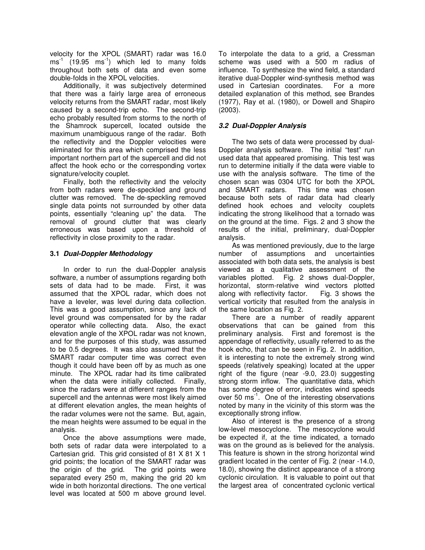velocity for the XPOL (SMART) radar was 16.0 ms<sup>-1</sup> (19.95 ms<sup>-1</sup>) which led to many folds throughout both sets of data and even some double-folds in the XPOL velocities.

Additionally, it was subjectively determined that there was a fairly large area of erroneous velocity returns from the SMART radar, most likely caused by a second-trip echo. The second-trip echo probably resulted from storms to the north of the Shamrock supercell, located outside the maximum unambiguous range of the radar. Both the reflectivity and the Doppler velocities were eliminated for this area which comprised the less important northern part of the supercell and did not affect the hook echo or the corresponding vortex signature/velocity couplet.

Finally, both the reflectivity and the velocity from both radars were de-speckled and ground clutter was removed. The de-speckling removed single data points not surrounded by other data points, essentially "cleaning up" the data. The removal of ground clutter that was clearly erroneous was based upon a threshold of reflectivity in close proximity to the radar.

# **3.1** *Dual-Doppler Methodology*

In order to run the dual-Doppler analysis software, a number of assumptions regarding both sets of data had to be made. First, it was assumed that the XPOL radar, which does not have a leveler, was level during data collection. This was a good assumption, since any lack of level ground was compensated for by the radar operator while collecting data. Also, the exact elevation angle of the XPOL radar was not known, and for the purposes of this study, was assumed to be 0.5 degrees. It was also assumed that the SMART radar computer time was correct even though it could have been off by as much as one minute. The XPOL radar had its time calibrated when the data were initially collected. Finally, since the radars were at different ranges from the supercell and the antennas were most likely aimed at different elevation angles, the mean heights of the radar volumes were not the same. But, again, the mean heights were assumed to be equal in the analysis.

Once the above assumptions were made, both sets of radar data were interpolated to a Cartesian grid. This grid consisted of 81 X 81 X 1 grid points; the location of the SMART radar was the origin of the grid. The grid points were separated every 250 m, making the grid 20 km wide in both horizontal directions. The one vertical level was located at 500 m above ground level.

To interpolate the data to a grid, a Cressman scheme was used with a 500 m radius of influence. To synthesize the wind field, a standard iterative dual-Doppler wind-synthesis method was used in Cartesian coordinates. For a more detailed explanation of this method, see Brandes (1977), Ray et al. (1980), or Dowell and Shapiro (2003).

## *3.2 Dual-Doppler Analysis*

The two sets of data were processed by dual-Doppler analysis software. The initial "test" run used data that appeared promising. This test was run to determine initially if the data were viable to use with the analysis software. The time of the chosen scan was 0304 UTC for both the XPOL and SMART radars. This time was chosen because both sets of radar data had clearly defined hook echoes and velocity couplets indicating the strong likelihood that a tornado was on the ground at the time. Figs. 2 and 3 show the results of the initial, preliminary, dual-Doppler analysis.

As was mentioned previously, due to the large number of assumptions and uncertainties associated with both data sets, the analysis is best viewed as a qualitative assessment of the variables plotted. Fig. 2 shows dual-Doppler, horizontal, storm-relative wind vectors plotted<br>along with reflectivity factor. Fig. 3 shows the along with reflectivity factor. vertical vorticity that resulted from the analysis in the same location as Fig. 2.

There are a number of readily apparent observations that can be gained from this preliminary analysis. First and foremost is the appendage of reflectivity, usually referred to as the hook echo, that can be seen in Fig. 2. In addition, it is interesting to note the extremely strong wind speeds (relatively speaking) located at the upper right of the figure (near -9.0, 23.0) suggesting strong storm inflow. The quantitative data, which has some degree of error, indicates wind speeds over 50 ms<sup>-1</sup>. One of the interesting observations noted by many in the vicinity of this storm was the exceptionally strong inflow.

Also of interest is the presence of a strong low-level mesocyclone. The mesocyclone would be expected if, at the time indicated, a tornado was on the ground as is believed for the analysis. This feature is shown in the strong horizontal wind gradient located in the center of Fig. 2 (near -14.0, 18.0), showing the distinct appearance of a strong cyclonic circulation. It is valuable to point out that the largest area of concentrated cyclonic vertical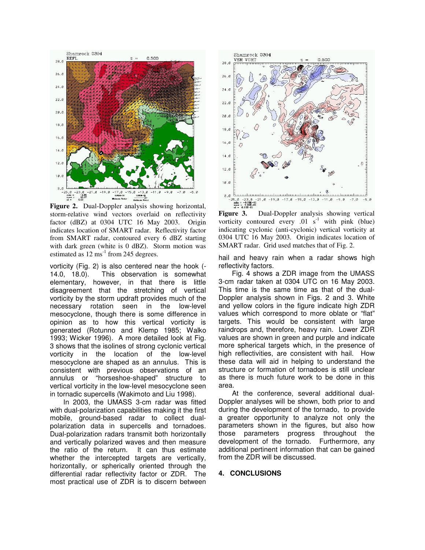

**Figure 2.** Dual-Doppler analysis showing horizontal, storm-relative wind vectors overlaid on reflectivity factor (dBZ) at 0304 UTC 16 May 2003. Origin indicates location of SMART radar. Reflectivity factor from SMART radar, contoured every 6 dBZ starting with dark green (white is 0 dBZ). Storm motion was estimated as  $12 \text{ ms}^{-1}$  from 245 degrees.

vorticity (Fig. 2) is also centered near the hook (- 14.0, 18.0). This observation is somewhat elementary, however, in that there is little disagreement that the stretching of vertical vorticity by the storm updraft provides much of the necessary rotation seen in the low-level mesocyclone, though there is some difference in opinion as to how this vertical vorticity is generated (Rotunno and Klemp 1985; Walko 1993; Wicker 1996). A more detailed look at Fig. 3 shows that the isolines of strong cyclonic vertical vorticity in the location of the low-level mesocyclone are shaped as an annulus. This is consistent with previous observations of an annulus or "horseshoe-shaped" structure to vertical vorticity in the low-level mesocyclone seen in tornadic supercells (Wakimoto and Liu 1998).

In 2003, the UMASS 3-cm radar was fitted with dual-polarization capabilities making it the first mobile, ground-based radar to collect dualpolarization data in supercells and tornadoes. Dual-polarization radars transmit both horizontally and vertically polarized waves and then measure the ratio of the return. It can thus estimate whether the intercepted targets are vertically, horizontally, or spherically oriented through the differential radar reflectivity factor or ZDR. The most practical use of ZDR is to discern between



**Figure 3.** Dual-Doppler analysis showing vertical vorticity contoured every  $.01 \text{ s}^{-1}$  with pink (blue) indicating cyclonic (anti-cyclonic) vertical vorticity at 0304 UTC 16 May 2003. Origin indicates location of SMART radar. Grid used matches that of Fig. 2.

hail and heavy rain when a radar shows high reflectivity factors.

Fig. 4 shows a ZDR image from the UMASS 3-cm radar taken at 0304 UTC on 16 May 2003. This time is the same time as that of the dual-Doppler analysis shown in Figs. 2 and 3. White and yellow colors in the figure indicate high ZDR values which correspond to more oblate or "flat" targets. This would be consistent with large raindrops and, therefore, heavy rain. Lower ZDR values are shown in green and purple and indicate more spherical targets which, in the presence of high reflectivities, are consistent with hail. How these data will aid in helping to understand the structure or formation of tornadoes is still unclear as there is much future work to be done in this area.

At the conference, several additional dual-Doppler analyses will be shown, both prior to and during the development of the tornado, to provide a greater opportunity to analyze not only the parameters shown in the figures, but also how those parameters progress throughout the development of the tornado. Furthermore, any additional pertinent information that can be gained from the ZDR will be discussed.

#### **4. CONCLUSIONS**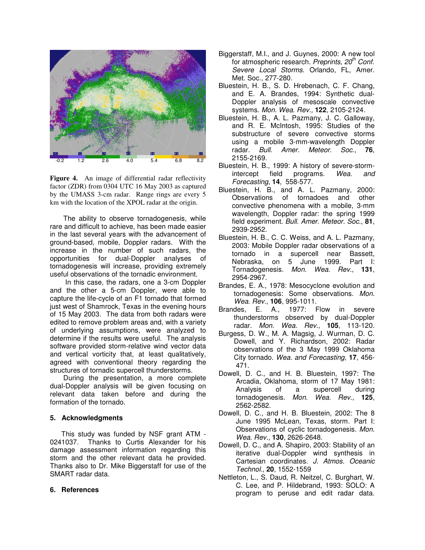

**Figure 4.** An image of differential radar reflectivity factor (ZDR) from 0304 UTC 16 May 2003 as captured by the UMASS 3-cm radar. Range rings are every 5 km with the location of the XPOL radar at the origin.

The ability to observe tornadogenesis, while rare and difficult to achieve, has been made easier in the last several years with the advancement of ground-based, mobile, Doppler radars. With the increase in the number of such radars, the opportunities for dual-Doppler analyses of tornadogenesis will increase, providing extremely useful observations of the tornadic environment.

In this case, the radars, one a 3-cm Doppler and the other a 5-cm Doppler, were able to capture the life-cycle of an F1 tornado that formed just west of Shamrock, Texas in the evening hours of 15 May 2003. The data from both radars were edited to remove problem areas and, with a variety of underlying assumptions, were analyzed to determine if the results were useful. The analysis software provided storm-relative wind vector data and vertical vorticity that, at least qualitatively, agreed with conventional theory regarding the structures of tornadic supercell thunderstorms.

During the presentation, a more complete dual-Doppler analysis will be given focusing on relevant data taken before and during the formation of the tornado.

## **5. Acknowledgments**

This study was funded by NSF grant ATM - 0241037. Thanks to Curtis Alexander for his damage assessment information regarding this storm and the other relevant data he provided. Thanks also to Dr. Mike Biggerstaff for use of the SMART radar data.

### **6. References**

- Biggerstaff, M.I., and J. Guynes, 2000: A new tool for atmospheric research. *Preprints, 20 th Conf. Severe Local Storms*. Orlando, FL, Amer. Met. Soc., 277-280.
- Bluestein, H. B., S. D. Hrebenach, C. F. Chang, and E. A. Brandes, 1994: Synthetic dual-Doppler analysis of mesoscale convective systems. *Mon. Wea. Rev.,* **122**, 2105-2124.
- Bluestein, H. B., A. L. Pazmany, J. C. Galloway, and R. E. McIntosh, 1995: Studies of the substructure of severe convective storms using a mobile 3-mm-wavelength Doppler radar. *Bull. Amer. Meteor. Soc*., **76**, 2155-2169.
- Bluestein, H. B., 1999: A history of severe-stormintercept field programs. *Wea. and Forecasting*, **14**, 558-577.
- Bluestein, H. B., and A. L. Pazmany, 2000: Observations of tornadoes and other convective phenomena with a mobile, 3-mm wavelength, Doppler radar: the spring 1999 field experiment. *Bull. Amer. Meteor. Soc*., **81**, 2939-2952.
- Bluestein, H. B., C. C. Weiss, and A. L. Pazmany, 2003: Mobile Doppler radar observations of a tornado in a supercell near Bassett, Nebraska, on 5 June 1999. Part I: Tornadogenesis. *Mon. Wea. Rev*., **131**, 2954-2967.
- Brandes, E. A., 1978: Mesocyclone evolution and tornadogenesis: Some observations. *Mon. Wea. Rev.*, **106**, 995-1011.
- Brandes, E. A., 1977: Flow in severe thunderstorms observed by dual-Doppler radar. *Mon. Wea. Rev*., **105**, 113-120.
- Burgess, D. W., M. A. Magsig, J. Wurman, D. C. Dowell, and Y. Richardson, 2002: Radar observations of the 3 May 1999 Oklahoma City tornado. *Wea. and Forecasting*, **17**, 456- 471.
- Dowell, D. C., and H. B. Bluestein, 1997: The Arcadia, Oklahoma, storm of 17 May 1981: of a supercell tornadogenesis. *Mon. Wea. Rev*., **125**, 2562-2582.
- Dowell, D. C., and H. B. Bluestein, 2002: The 8 June 1995 McLean, Texas, storm. Part I: Observations of cyclic tornadogenesis. *Mon. Wea. Rev.*, **130**, 2626-2648.
- Dowell, D. C., and A. Shapiro, 2003: Stability of an iterative dual-Doppler wind synthesis in Cartesian coordinates. *J. Atmos. Oceanic Technol*., **20**, 1552-1559
- Nettleton, L., S. Daud, R. Neitzel, C. Burghart, W. C. Lee, and P. Hildebrand, 1993: SOLO: A program to peruse and edit radar data.